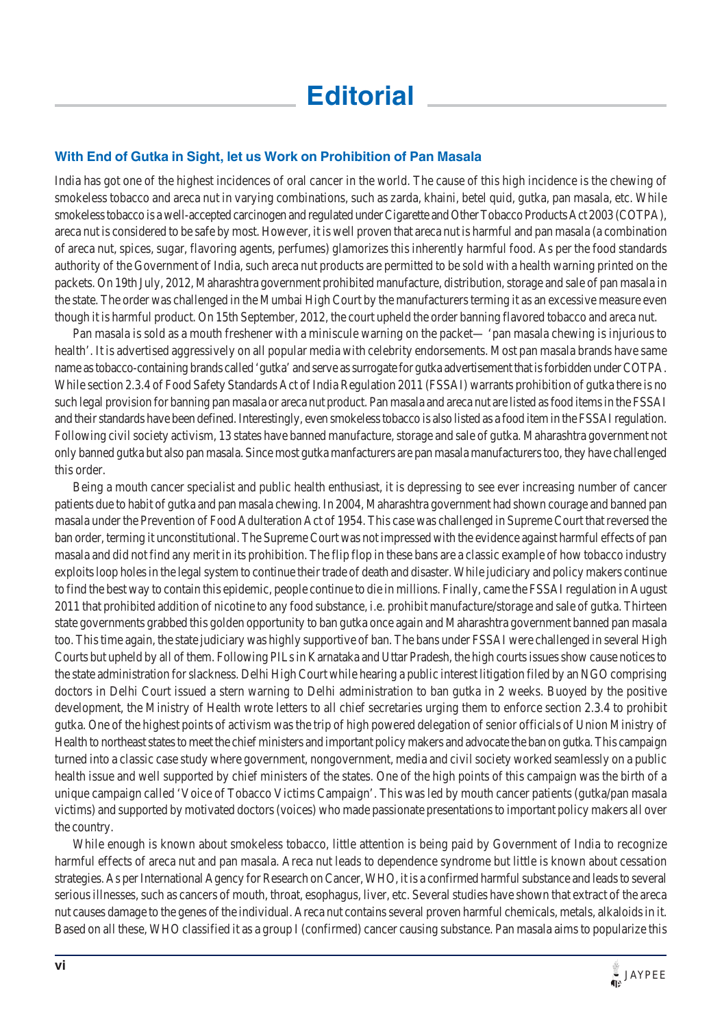## **With End of Gutka in Sight, let us Work on Prohibition of Pan Masala**

India has got one of the highest incidences of oral cancer in the world. The cause of this high incidence is the chewing of smokeless tobacco and areca nut in varying combinations, such as zarda, khaini, betel quid, gutka, pan masala, etc. While smokeless tobacco is a well-accepted carcinogen and regulated under Cigarette and Other Tobacco Products Act 2003 (COTPA), areca nut is considered to be safe by most. However, it is well proven that areca nut is harmful and pan masala (a combination of areca nut, spices, sugar, flavoring agents, perfumes) glamorizes this inherently harmful food. As per the food standards authority of the Government of India, such areca nut products are permitted to be sold with a health warning printed on the packets. On 19th July, 2012, Maharashtra government prohibited manufacture, distribution, storage and sale of pan masala in the state. The order was challenged in the Mumbai High Court by the manufacturers terming it as an excessive measure even though it is harmful product. On 15th September, 2012, the court upheld the order banning flavored tobacco and areca nut.

Pan masala is sold as a mouth freshener with a miniscule warning on the packet— 'pan masala chewing is injurious to health'. It is advertised aggressively on all popular media with celebrity endorsements. Most pan masala brands have same name as tobacco-containing brands called 'gutka' and serve as surrogate for gutka advertisement that is forbidden under COTPA. While section 2.3.4 of Food Safety Standards Act of India Regulation 2011 (FSSAI) warrants prohibition of gutka there is no such legal provision for banning pan masala or areca nut product. Pan masala and areca nut are listed as food items in the FSSAI and their standards have been defined. Interestingly, even smokeless tobacco is also listed as a food item in the FSSAI regulation. Following civil society activism, 13 states have banned manufacture, storage and sale of gutka. Maharashtra government not only banned gutka but also pan masala. Since most gutka manfacturers are pan masala manufacturers too, they have challenged this order.

Being a mouth cancer specialist and public health enthusiast, it is depressing to see ever increasing number of cancer patients due to habit of gutka and pan masala chewing. In 2004, Maharashtra government had shown courage and banned pan masala under the Prevention of Food Adulteration Act of 1954. This case was challenged in Supreme Court that reversed the ban order, terming it unconstitutional. The Supreme Court was not impressed with the evidence against harmful effects of pan masala and did not find any merit in its prohibition. The flip flop in these bans are a classic example of how tobacco industry exploits loop holes in the legal system to continue their trade of death and disaster. While judiciary and policy makers continue to find the best way to contain this epidemic, people continue to die in millions. Finally, came the FSSAI regulation in August 2011 that prohibited addition of nicotine to any food substance, i.e. prohibit manufacture/storage and sale of gutka. Thirteen state governments grabbed this golden opportunity to ban gutka once again and Maharashtra government banned pan masala too. This time again, the state judiciary was highly supportive of ban. The bans under FSSAI were challenged in several High Courts but upheld by all of them. Following PILs in Karnataka and Uttar Pradesh, the high courts issues show cause notices to the state administration for slackness. Delhi High Court while hearing a public interest litigation filed by an NGO comprising doctors in Delhi Court issued a stern warning to Delhi administration to ban gutka in 2 weeks. Buoyed by the positive development, the Ministry of Health wrote letters to all chief secretaries urging them to enforce section 2.3.4 to prohibit gutka. One of the highest points of activism was the trip of high powered delegation of senior officials of Union Ministry of Health to northeast states to meet the chief ministers and important policy makers and advocate the ban on gutka. This campaign turned into a classic case study where government, nongovernment, media and civil society worked seamlessly on a public health issue and well supported by chief ministers of the states. One of the high points of this campaign was the birth of a unique campaign called 'Voice of Tobacco Victims Campaign'. This was led by mouth cancer patients (gutka/pan masala victims) and supported by motivated doctors (voices) who made passionate presentations to important policy makers all over the country.

While enough is known about smokeless tobacco, little attention is being paid by Government of India to recognize harmful effects of areca nut and pan masala. Areca nut leads to dependence syndrome but little is known about cessation strategies. As per International Agency for Research on Cancer, WHO, it is a confirmed harmful substance and leads to several serious illnesses, such as cancers of mouth, throat, esophagus, liver, etc. Several studies have shown that extract of the areca nut causes damage to the genes of the individual. Areca nut contains several proven harmful chemicals, metals, alkaloids in it. Based on all these, WHO classified it as a group I (confirmed) cancer causing substance. Pan masala aims to popularize this